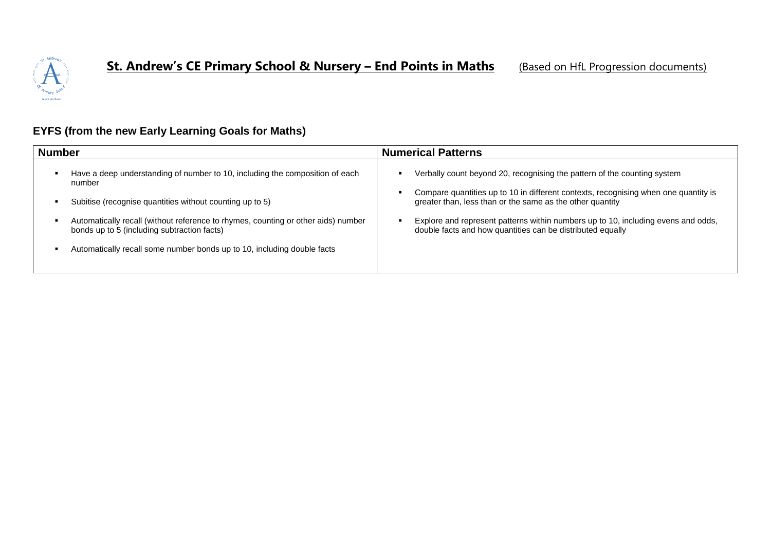

## **EYFS (from the new Early Learning Goals for Maths)**

| <b>Number</b>                                                                                                                                                                                                                                                                                                                                                     | <b>Numerical Patterns</b>                                                                                                                                                                                                                                                                                                                                                       |
|-------------------------------------------------------------------------------------------------------------------------------------------------------------------------------------------------------------------------------------------------------------------------------------------------------------------------------------------------------------------|---------------------------------------------------------------------------------------------------------------------------------------------------------------------------------------------------------------------------------------------------------------------------------------------------------------------------------------------------------------------------------|
| Have a deep understanding of number to 10, including the composition of each<br>number<br>Subitise (recognise quantities without counting up to 5)<br>Automatically recall (without reference to rhymes, counting or other aids) number<br>bonds up to 5 (including subtraction facts)<br>Automatically recall some number bonds up to 10, including double facts | Verbally count beyond 20, recognising the pattern of the counting system<br>Compare quantities up to 10 in different contexts, recognising when one quantity is<br>greater than, less than or the same as the other quantity<br>Explore and represent patterns within numbers up to 10, including evens and odds,<br>double facts and how quantities can be distributed equally |
|                                                                                                                                                                                                                                                                                                                                                                   |                                                                                                                                                                                                                                                                                                                                                                                 |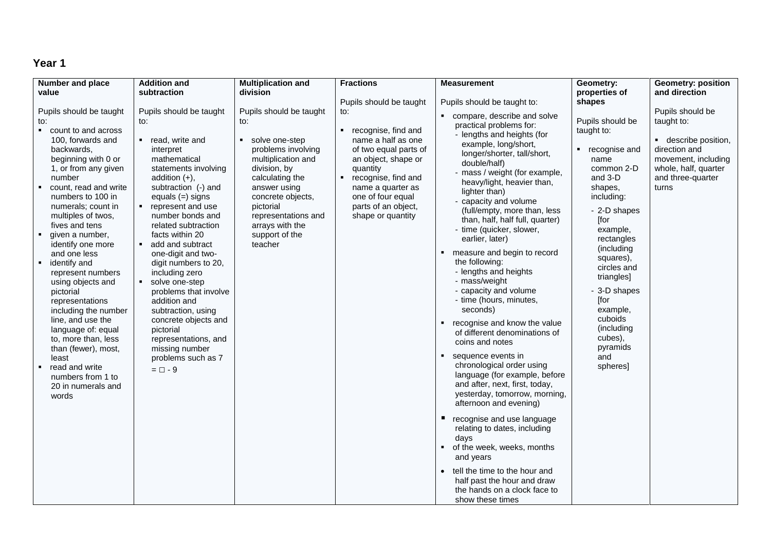| <b>Number and place</b>                                                                                                                                                                                                                                                                                                                                                                                                                                                                                                                                                                                           | <b>Addition and</b>                                                                                                                                                                                                                                                                                                                                                                                                                                                                                                                                          | <b>Multiplication and</b>                                                                                                                                                                                                                                                  | <b>Fractions</b>                                                                                                                                                                                                            | <b>Measurement</b>                                                                                                                                                                                                                                                                                                                                                                                                                                                                                                                                                                                                                                                                                                                                                                                                                                                                                                                                                                                                                                          | Geometry:                                                                                                                                                                                                                                                                                                                    | <b>Geometry: position</b>                                                                                                                            |
|-------------------------------------------------------------------------------------------------------------------------------------------------------------------------------------------------------------------------------------------------------------------------------------------------------------------------------------------------------------------------------------------------------------------------------------------------------------------------------------------------------------------------------------------------------------------------------------------------------------------|--------------------------------------------------------------------------------------------------------------------------------------------------------------------------------------------------------------------------------------------------------------------------------------------------------------------------------------------------------------------------------------------------------------------------------------------------------------------------------------------------------------------------------------------------------------|----------------------------------------------------------------------------------------------------------------------------------------------------------------------------------------------------------------------------------------------------------------------------|-----------------------------------------------------------------------------------------------------------------------------------------------------------------------------------------------------------------------------|-------------------------------------------------------------------------------------------------------------------------------------------------------------------------------------------------------------------------------------------------------------------------------------------------------------------------------------------------------------------------------------------------------------------------------------------------------------------------------------------------------------------------------------------------------------------------------------------------------------------------------------------------------------------------------------------------------------------------------------------------------------------------------------------------------------------------------------------------------------------------------------------------------------------------------------------------------------------------------------------------------------------------------------------------------------|------------------------------------------------------------------------------------------------------------------------------------------------------------------------------------------------------------------------------------------------------------------------------------------------------------------------------|------------------------------------------------------------------------------------------------------------------------------------------------------|
| value                                                                                                                                                                                                                                                                                                                                                                                                                                                                                                                                                                                                             | subtraction                                                                                                                                                                                                                                                                                                                                                                                                                                                                                                                                                  | division                                                                                                                                                                                                                                                                   |                                                                                                                                                                                                                             |                                                                                                                                                                                                                                                                                                                                                                                                                                                                                                                                                                                                                                                                                                                                                                                                                                                                                                                                                                                                                                                             | properties of                                                                                                                                                                                                                                                                                                                | and direction                                                                                                                                        |
|                                                                                                                                                                                                                                                                                                                                                                                                                                                                                                                                                                                                                   |                                                                                                                                                                                                                                                                                                                                                                                                                                                                                                                                                              |                                                                                                                                                                                                                                                                            | Pupils should be taught                                                                                                                                                                                                     | Pupils should be taught to:                                                                                                                                                                                                                                                                                                                                                                                                                                                                                                                                                                                                                                                                                                                                                                                                                                                                                                                                                                                                                                 | shapes                                                                                                                                                                                                                                                                                                                       |                                                                                                                                                      |
| Pupils should be taught<br>to:<br>• count to and across<br>100, forwards and<br>backwards,<br>beginning with 0 or<br>1, or from any given<br>number<br>count, read and write<br>numbers to 100 in<br>numerals; count in<br>multiples of twos,<br>fives and tens<br>given a number,<br>identify one more<br>and one less<br>identify and<br>represent numbers<br>using objects and<br>pictorial<br>representations<br>including the number<br>line, and use the<br>language of: equal<br>to, more than, less<br>than (fewer), most,<br>least<br>read and write<br>numbers from 1 to<br>20 in numerals and<br>words | Pupils should be taught<br>to:<br>■ read, write and<br>interpret<br>mathematical<br>statements involving<br>addition $(+)$ ,<br>subtraction (-) and<br>equals $(=)$ signs<br>represent and use<br>number bonds and<br>related subtraction<br>facts within 20<br>add and subtract<br>٠.<br>one-digit and two-<br>digit numbers to 20,<br>including zero<br>solve one-step<br>problems that involve<br>addition and<br>subtraction, using<br>concrete objects and<br>pictorial<br>representations, and<br>missing number<br>problems such as 7<br>$= \Box - 9$ | Pupils should be taught<br>to:<br>solve one-step<br>$\blacksquare$<br>problems involving<br>multiplication and<br>division, by<br>calculating the<br>answer using<br>concrete objects,<br>pictorial<br>representations and<br>arrays with the<br>support of the<br>teacher | to:<br>• recognise, find and<br>name a half as one<br>of two equal parts of<br>an object, shape or<br>quantity<br>recognise, find and<br>name a quarter as<br>one of four equal<br>parts of an object,<br>shape or quantity | compare, describe and solve<br>practical problems for:<br>- lengths and heights (for<br>example, long/short,<br>longer/shorter, tall/short,<br>double/half)<br>- mass / weight (for example,<br>heavy/light, heavier than,<br>lighter than)<br>- capacity and volume<br>(full/empty, more than, less<br>than, half, half full, quarter)<br>- time (quicker, slower,<br>earlier, later)<br>measure and begin to record<br>the following:<br>- lengths and heights<br>- mass/weight<br>- capacity and volume<br>- time (hours, minutes,<br>seconds)<br>recognise and know the value<br>of different denominations of<br>coins and notes<br>sequence events in<br>chronological order using<br>language (for example, before<br>and after, next, first, today,<br>yesterday, tomorrow, morning,<br>afternoon and evening)<br>recognise and use language<br>relating to dates, including<br>days<br>of the week, weeks, months<br>and years<br>tell the time to the hour and<br>half past the hour and draw<br>the hands on a clock face to<br>show these times | Pupils should be<br>taught to:<br>• recognise and<br>name<br>common 2-D<br>and 3-D<br>shapes,<br>including:<br>- 2-D shapes<br>[for<br>example,<br>rectangles<br>(including<br>squares),<br>circles and<br>triangles]<br>- 3-D shapes<br>[for<br>example,<br>cuboids<br>(including<br>cubes),<br>pyramids<br>and<br>spheres] | Pupils should be<br>taught to:<br>• describe position,<br>direction and<br>movement, including<br>whole, half, quarter<br>and three-quarter<br>turns |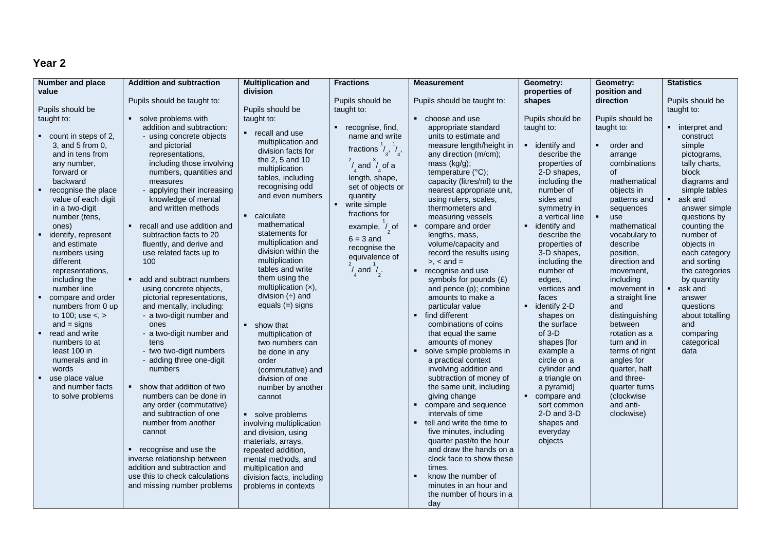| <b>Number and place</b>        | <b>Addition and subtraction</b>                                | <b>Multiplication and</b> | <b>Fractions</b>                          | <b>Measurement</b>                             | Geometry:                                      | Geometry:                     | <b>Statistics</b>         |
|--------------------------------|----------------------------------------------------------------|---------------------------|-------------------------------------------|------------------------------------------------|------------------------------------------------|-------------------------------|---------------------------|
| value                          |                                                                | division                  |                                           |                                                | properties of                                  | position and                  |                           |
|                                | Pupils should be taught to:                                    |                           | Pupils should be                          | Pupils should be taught to:                    | shapes                                         | direction                     | Pupils should be          |
| Pupils should be               |                                                                | Pupils should be          | taught to:                                |                                                |                                                |                               | taught to:                |
| taught to:                     | solve problems with                                            | taught to:                |                                           | • choose and use                               | Pupils should be                               | Pupils should be              |                           |
|                                | addition and subtraction:                                      | recall and use            | recognise, find,                          | appropriate standard                           | taught to:                                     | taught to:                    | • interpret and           |
| $\bullet$ count in steps of 2, | - using concrete objects                                       | multiplication and        | name and write                            | units to estimate and                          |                                                |                               | construct                 |
| 3, and 5 from 0,               | and pictorial                                                  | division facts for        | fractions $\frac{1}{3}$ , $\frac{1}{4}$ , | measure length/height in                       | identify and<br>$\blacksquare$                 | order and                     | simple                    |
| and in tens from               | representations,                                               | the 2, 5 and 10           |                                           | any direction (m/cm);                          | describe the                                   | arrange                       | pictograms,               |
| any number,                    | including those involving                                      | multiplication            | $1$ and $1$ of a                          | mass (kg/g);                                   | properties of                                  | combinations                  | tally charts,             |
| forward or                     | numbers, quantities and                                        | tables, including         | length, shape,                            | temperature (°C);                              | 2-D shapes,                                    | of                            | block                     |
| backward                       | measures                                                       | recognising odd           | set of objects or                         | capacity (litres/ml) to the                    | including the                                  | mathematical                  | diagrams and              |
| recognise the place            | - applying their increasing                                    | and even numbers          | quantity                                  | nearest appropriate unit,                      | number of                                      | objects in                    | simple tables             |
| value of each digit            | knowledge of mental                                            |                           | write simple                              | using rulers, scales,                          | sides and                                      | patterns and                  | ask and                   |
| in a two-digit                 | and written methods                                            | calculate                 | fractions for                             | thermometers and                               | symmetry in                                    | sequences                     | answer simple             |
| number (tens,                  |                                                                | mathematical              |                                           | measuring vessels<br>$\blacksquare$            | a vertical line                                | $\blacksquare$<br>use         | questions by              |
| ones)<br>identify, represent   | • recall and use addition and<br>subtraction facts to 20       | statements for            | example, $\frac{1}{2}$ of                 | compare and order<br>lengths, mass,            | identify and<br>$\blacksquare$<br>describe the | mathematical<br>vocabulary to | counting the<br>number of |
| and estimate                   | fluently, and derive and                                       | multiplication and        | $6 = 3$ and                               | volume/capacity and                            | properties of                                  | describe                      | objects in                |
| numbers using                  | use related facts up to                                        | division within the       | recognise the                             | record the results using                       | 3-D shapes,                                    | position,                     | each category             |
| different                      | 100                                                            | multiplication            | equivalence of                            | $\ge$ , $\lt$ and $=$                          | including the                                  | direction and                 | and sorting               |
| representations.               |                                                                | tables and write          | $\frac{1}{4}$ and $\frac{1}{2}$ .         | recognise and use<br>$\mathbf{H}^{\prime}$ .   | number of                                      | movement,                     | the categories            |
| including the                  | add and subtract numbers                                       | them using the            |                                           | symbols for pounds (£)                         | edges,                                         | including                     | by quantity               |
| number line                    | using concrete objects,                                        | multiplication $(x)$ ,    |                                           | and pence (p); combine                         | vertices and                                   | movement in                   | ask and<br>٠              |
| compare and order              | pictorial representations,                                     | division $(\div)$ and     |                                           | amounts to make a                              | faces                                          | a straight line               | answer                    |
| numbers from 0 up              | and mentally, including:                                       | equals $(=)$ signs        |                                           | particular value                               | identify 2-D<br>$\blacksquare$                 | and                           | questions                 |
| to 100; use $\lt$ , $>$        | - a two-digit number and                                       |                           |                                           | • find different                               | shapes on                                      | distinguishing                | about totalling           |
| and $=$ signs                  | ones                                                           | show that                 |                                           | combinations of coins                          | the surface                                    | between                       | and                       |
| read and write                 | - a two-digit number and                                       | multiplication of         |                                           | that equal the same                            | $of 3-D$                                       | rotation as a                 | comparing                 |
| numbers to at                  | tens                                                           | two numbers can           |                                           | amounts of money                               | shapes [for                                    | turn and in                   | categorical               |
| least 100 in                   | - two two-digit numbers                                        | be done in any            |                                           | solve simple problems in<br>$\blacksquare$     | example a                                      | terms of right                | data                      |
| numerals and in                | - adding three one-digit                                       | order                     |                                           | a practical context                            | circle on a                                    | angles for                    |                           |
| words                          | numbers                                                        | (commutative) and         |                                           | involving addition and                         | cylinder and                                   | quarter, half                 |                           |
| use place value                |                                                                | division of one           |                                           | subtraction of money of                        | a triangle on                                  | and three-                    |                           |
| and number facts               | show that addition of two<br>٠.                                | number by another         |                                           | the same unit, including                       | a pyramid]                                     | quarter turns                 |                           |
| to solve problems              | numbers can be done in                                         | cannot                    |                                           | giving change                                  | • compare and                                  | (clockwise                    |                           |
|                                | any order (commutative)                                        |                           |                                           | $\blacksquare$<br>compare and sequence         | sort common                                    | and anti-                     |                           |
|                                | and subtraction of one                                         | solve problems            |                                           | intervals of time                              | $2-D$ and $3-D$                                | clockwise)                    |                           |
|                                | number from another                                            | involving multiplication  |                                           | tell and write the time to<br>$\blacksquare$   | shapes and                                     |                               |                           |
|                                | cannot                                                         | and division, using       |                                           | five minutes, including                        | everyday                                       |                               |                           |
|                                |                                                                | materials, arrays,        |                                           | quarter past/to the hour                       | objects                                        |                               |                           |
|                                | recognise and use the<br>٠.                                    | repeated addition,        |                                           | and draw the hands on a                        |                                                |                               |                           |
|                                | inverse relationship between                                   | mental methods, and       |                                           | clock face to show these                       |                                                |                               |                           |
|                                | addition and subtraction and<br>use this to check calculations | multiplication and        |                                           | times.<br>know the number of<br>$\blacksquare$ |                                                |                               |                           |
|                                |                                                                | division facts, including |                                           | minutes in an hour and                         |                                                |                               |                           |
|                                | and missing number problems                                    | problems in contexts      |                                           | the number of hours in a                       |                                                |                               |                           |
|                                |                                                                |                           |                                           | day                                            |                                                |                               |                           |
|                                |                                                                |                           |                                           |                                                |                                                |                               |                           |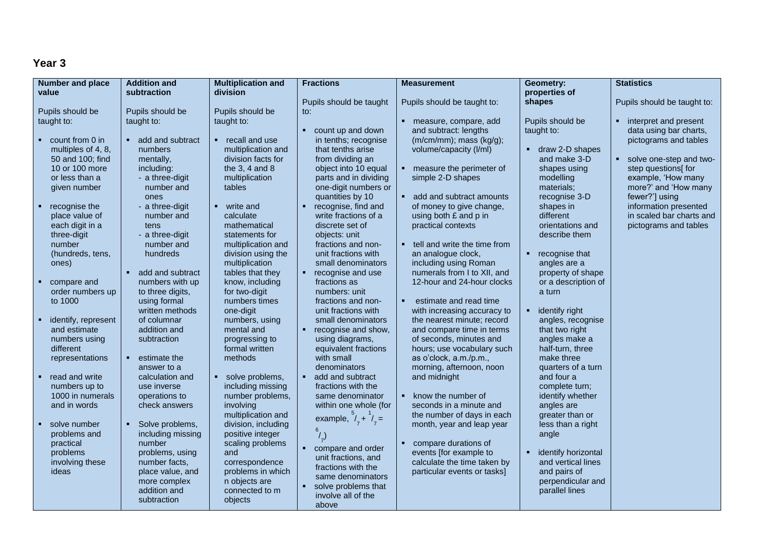| <b>Number and place</b>         | <b>Addition and</b>                 | <b>Multiplication and</b>        | <b>Fractions</b>                       | <b>Measurement</b>                                        | Geometry:           | <b>Statistics</b>           |
|---------------------------------|-------------------------------------|----------------------------------|----------------------------------------|-----------------------------------------------------------|---------------------|-----------------------------|
| value                           | subtraction                         | division                         |                                        |                                                           | properties of       |                             |
|                                 |                                     |                                  | Pupils should be taught                | Pupils should be taught to:                               | shapes              | Pupils should be taught to: |
| Pupils should be                | Pupils should be                    | Pupils should be                 | to:                                    |                                                           |                     |                             |
| taught to:                      | taught to:                          | taught to:                       |                                        | • measure, compare, add                                   | Pupils should be    | interpret and present       |
|                                 |                                     |                                  | count up and down                      | and subtract: lengths                                     | taught to:          | data using bar charts,      |
| $\bullet$ count from 0 in       | add and subtract                    | • recall and use                 | in tenths; recognise                   | (m/cm/mm); mass (kg/g);                                   |                     | pictograms and tables       |
| multiples of 4, 8,              | numbers                             | multiplication and               | that tenths arise                      | volume/capacity (I/ml)                                    | • draw 2-D shapes   |                             |
| 50 and 100; find                | mentally,                           | division facts for               | from dividing an                       |                                                           | and make 3-D        | solve one-step and two-     |
| 10 or 100 more                  | including:                          | the $3, 4$ and $8$               | object into 10 equal                   | • measure the perimeter of                                | shapes using        | step questions[ for         |
| or less than a                  | - a three-digit                     | multiplication                   | parts and in dividing                  | simple 2-D shapes                                         | modelling           | example, 'How many          |
| given number                    | number and                          | tables                           | one-digit numbers or                   |                                                           | materials;          | more?' and 'How many        |
|                                 | ones                                |                                  | quantities by 10                       | add and subtract amounts                                  | recognise 3-D       | fewer?'] using              |
| $\blacksquare$ recognise the    | - a three-digit                     | • write and                      | recognise, find and<br>$\blacksquare$  | of money to give change,                                  | shapes in           | information presented       |
| place value of                  | number and                          | calculate                        | write fractions of a                   | using both £ and p in                                     | different           | in scaled bar charts and    |
| each digit in a                 | tens                                | mathematical                     | discrete set of                        | practical contexts                                        | orientations and    | pictograms and tables       |
| three-digit                     | - a three-digit                     | statements for                   | objects: unit                          |                                                           | describe them       |                             |
| number                          | number and                          | multiplication and               | fractions and non-                     | • tell and write the time from                            |                     |                             |
| (hundreds, tens,                | hundreds                            | division using the               | unit fractions with                    | an analogue clock,                                        | recognise that<br>٠ |                             |
| ones)                           |                                     | multiplication                   | small denominators                     | including using Roman                                     | angles are a        |                             |
|                                 | add and subtract<br>$\mathbf{r}$ .  | tables that they                 | recognise and use<br>$\blacksquare$    | numerals from I to XII, and<br>12-hour and 24-hour clocks | property of shape   |                             |
| compare and<br>order numbers up | numbers with up<br>to three digits, | know, including<br>for two-digit | fractions as<br>numbers: unit          |                                                           | or a description of |                             |
| to 1000                         | using formal                        | numbers times                    | fractions and non-                     | estimate and read time                                    | a turn              |                             |
|                                 | written methods                     | one-digit                        | unit fractions with                    | with increasing accuracy to                               | identify right      |                             |
| identify, represent             | of columnar                         | numbers, using                   | small denominators                     | the nearest minute; record                                | angles, recognise   |                             |
| and estimate                    | addition and                        | mental and                       | recognise and show,<br>٠               | and compare time in terms                                 | that two right      |                             |
| numbers using                   | subtraction                         | progressing to                   | using diagrams,                        | of seconds, minutes and                                   | angles make a       |                             |
| different                       |                                     | formal written                   | equivalent fractions                   | hours; use vocabulary such                                | half-turn, three    |                             |
| representations                 | estimate the<br>$\blacksquare$      | methods                          | with small                             | as o'clock, a.m./p.m.,                                    | make three          |                             |
|                                 | answer to a                         |                                  | denominators                           | morning, afternoon, noon                                  | quarters of a turn  |                             |
| • read and write                | calculation and                     | solve problems,                  | add and subtract                       | and midnight                                              | and four a          |                             |
| numbers up to                   | use inverse                         | including missing                | fractions with the                     |                                                           | complete turn;      |                             |
| 1000 in numerals                | operations to                       | number problems,                 | same denominator                       | • know the number of                                      | identify whether    |                             |
| and in words                    | check answers                       | involving                        | within one whole (for                  | seconds in a minute and                                   | angles are          |                             |
|                                 |                                     | multiplication and               | example, $\frac{3}{7} + \frac{1}{7} =$ | the number of days in each                                | greater than or     |                             |
| solve number                    | Solve problems,                     | division, including              |                                        | month, year and leap year                                 | less than a right   |                             |
| problems and                    | including missing                   | positive integer                 | $^{6}/_{7})$                           |                                                           | angle               |                             |
| practical                       | number                              | scaling problems                 | compare and order                      | compare durations of                                      |                     |                             |
| problems                        | problems, using                     | and                              | unit fractions, and                    | events [for example to                                    | identify horizontal |                             |
| involving these                 | number facts,                       | correspondence                   | fractions with the                     | calculate the time taken by                               | and vertical lines  |                             |
| ideas                           | place value, and                    | problems in which                | same denominators                      | particular events or tasks]                               | and pairs of        |                             |
|                                 | more complex                        | n objects are                    | solve problems that                    |                                                           | perpendicular and   |                             |
|                                 | addition and                        | connected to m                   | involve all of the                     |                                                           | parallel lines      |                             |
|                                 | subtraction                         | objects                          | above                                  |                                                           |                     |                             |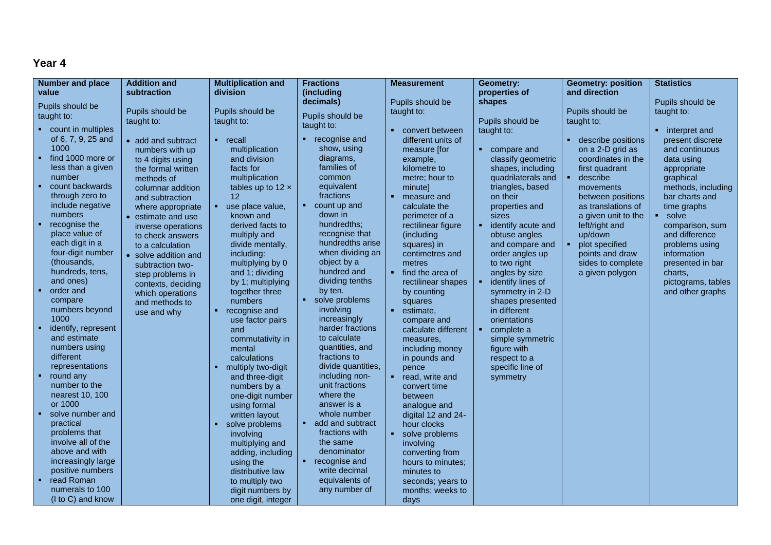| <b>Number and place</b>  | <b>Addition and</b>  | <b>Multiplication and</b> | <b>Fractions</b>   | <b>Measurement</b>          | Geometry:                     | <b>Geometry: position</b> | <b>Statistics</b>        |
|--------------------------|----------------------|---------------------------|--------------------|-----------------------------|-------------------------------|---------------------------|--------------------------|
| value                    | subtraction          | division                  | (including         |                             | properties of                 | and direction             |                          |
|                          |                      |                           | decimals)          | Pupils should be            | shapes                        |                           | Pupils should be         |
| Pupils should be         | Pupils should be     | Pupils should be          |                    | taught to:                  |                               | Pupils should be          | taught to:               |
| taught to:               | taught to:           | taught to:                | Pupils should be   |                             | Pupils should be              | taught to:                |                          |
| • count in multiples     |                      |                           | taught to:         | • convert between           | taught to:                    |                           | • interpret and          |
| of 6, 7, 9, 25 and       | • add and subtract   | $-$ recall                | • recognise and    | different units of          |                               | describe positions        | present discrete         |
| 1000                     | numbers with up      | multiplication            | show, using        | measure [for                | $\blacksquare$<br>compare and | on a 2-D grid as          | and continuous           |
| find 1000 more or        | to 4 digits using    | and division              | diagrams,          | example,                    | classify geometric            | coordinates in the        | data using               |
| less than a given        |                      | facts for                 | families of        | kilometre to                | shapes, including             | first quadrant            |                          |
| number                   | the formal written   | multiplication            | common             | metre; hour to              | quadrilaterals and            | describe                  | appropriate<br>graphical |
| count backwards          | methods of           |                           | equivalent         |                             |                               |                           |                          |
| through zero to          | columnar addition    | tables up to $12 \times$  | fractions          | minute]<br>٠                | triangles, based              | movements                 | methods, including       |
| include negative         | and subtraction      | 12                        | • count up and     | measure and                 | on their                      | between positions         | bar charts and           |
| numbers                  | where appropriate    | use place value.<br>٠     |                    | calculate the               | properties and                | as translations of        | time graphs              |
|                          | • estimate and use   | known and                 | down in            | perimeter of a              | sizes                         | a given unit to the       | • solve                  |
| recognise the            | inverse operations   | derived facts to          | hundredths:        | rectilinear figure          | identify acute and<br>٠       | left/right and            | comparison, sum          |
| place value of           | to check answers     | multiply and              | recognise that     | (including                  | obtuse angles                 | up/down                   | and difference           |
| each digit in a          | to a calculation     | divide mentally.          | hundredths arise   | squares) in                 | and compare and               | plot specified            | problems using           |
| four-digit number        | • solve addition and | including:                | when dividing an   | centimetres and             | order angles up               | points and draw           | information              |
| (thousands,              | subtraction two-     | multiplying by 0          | object by a        | metres                      | to two right                  | sides to complete         | presented in bar         |
| hundreds, tens,          | step problems in     | and 1; dividing           | hundred and        | find the area of            | angles by size                | a given polygon           | charts.                  |
| and ones)                | contexts, deciding   | by 1; multiplying         | dividing tenths    | rectilinear shapes          | identify lines of             |                           | pictograms, tables       |
| order and                | which operations     | together three            | by ten.            | by counting                 | symmetry in 2-D               |                           | and other graphs         |
| compare                  | and methods to       | numbers                   | • solve problems   | squares                     | shapes presented              |                           |                          |
| numbers beyond           | use and why          | recognise and<br>٠.       | involving          | $\blacksquare$<br>estimate, | in different                  |                           |                          |
| 1000                     |                      | use factor pairs          | increasingly       | compare and                 | orientations                  |                           |                          |
| identify, represent      |                      | and                       | harder fractions   | calculate different         | complete a<br>٠               |                           |                          |
| and estimate             |                      | commutativity in          | to calculate       | measures,                   | simple symmetric              |                           |                          |
| numbers using            |                      | mental                    | quantities, and    | including money             | figure with                   |                           |                          |
| different                |                      | calculations              | fractions to       | in pounds and               | respect to a                  |                           |                          |
| representations          |                      | multiply two-digit<br>٠   | divide quantities, | pence                       | specific line of              |                           |                          |
| $\blacksquare$ round any |                      | and three-digit           | including non-     | read, write and             | symmetry                      |                           |                          |
| number to the            |                      | numbers by a              | unit fractions     | convert time                |                               |                           |                          |
| nearest 10, 100          |                      | one-digit number          | where the          | between                     |                               |                           |                          |
| or 1000                  |                      | using formal              | answer is a        | analogue and                |                               |                           |                          |
| solve number and         |                      | written layout            | whole number       | digital 12 and 24-          |                               |                           |                          |
| practical                |                      | solve problems<br>٠       | add and subtract   | hour clocks                 |                               |                           |                          |
| problems that            |                      | involvina                 | fractions with     | • solve problems            |                               |                           |                          |
| involve all of the       |                      | multiplying and           | the same           | involving                   |                               |                           |                          |
| above and with           |                      | adding, including         | denominator        | converting from             |                               |                           |                          |
| increasingly large       |                      | using the                 | • recognise and    | hours to minutes:           |                               |                           |                          |
| positive numbers         |                      | distributive law          | write decimal      | minutes to                  |                               |                           |                          |
| • read Roman             |                      | to multiply two           | equivalents of     | seconds; years to           |                               |                           |                          |
| numerals to 100          |                      | digit numbers by          | any number of      | months; weeks to            |                               |                           |                          |
| (I to C) and know        |                      | one digit, integer        |                    | days                        |                               |                           |                          |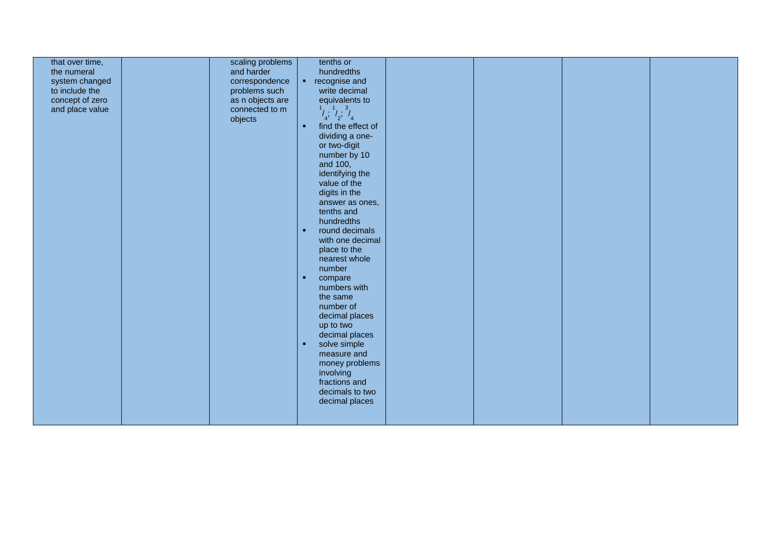| that over time,<br>the numeral<br>system changed<br>to include the<br>concept of zero<br>and place value | scaling problems<br>and harder<br>correspondence<br>problems such<br>as n objects are<br>connected to m<br>objects | tenths or<br>hundredths<br>recognise and<br>$\mathbf{H}^{\prime}$ .<br>write decimal<br>equivalents to<br>$\frac{1}{4}$ , $\frac{1}{2}$ , $\frac{3}{4}$<br>find the effect of<br>$\bullet$<br>dividing a one-<br>or two-digit<br>number by 10<br>and 100,<br>identifying the<br>value of the<br>digits in the<br>answer as ones,<br>tenths and<br>hundredths<br>round decimals<br>$\bullet$<br>with one decimal<br>place to the<br>nearest whole<br>number<br>compare<br>×<br>numbers with<br>the same<br>number of<br>decimal places<br>up to two<br>decimal places<br>$\bullet$<br>solve simple<br>measure and |  |  |
|----------------------------------------------------------------------------------------------------------|--------------------------------------------------------------------------------------------------------------------|------------------------------------------------------------------------------------------------------------------------------------------------------------------------------------------------------------------------------------------------------------------------------------------------------------------------------------------------------------------------------------------------------------------------------------------------------------------------------------------------------------------------------------------------------------------------------------------------------------------|--|--|
|                                                                                                          |                                                                                                                    |                                                                                                                                                                                                                                                                                                                                                                                                                                                                                                                                                                                                                  |  |  |
|                                                                                                          |                                                                                                                    | money problems<br>involving<br>fractions and<br>decimals to two<br>decimal places                                                                                                                                                                                                                                                                                                                                                                                                                                                                                                                                |  |  |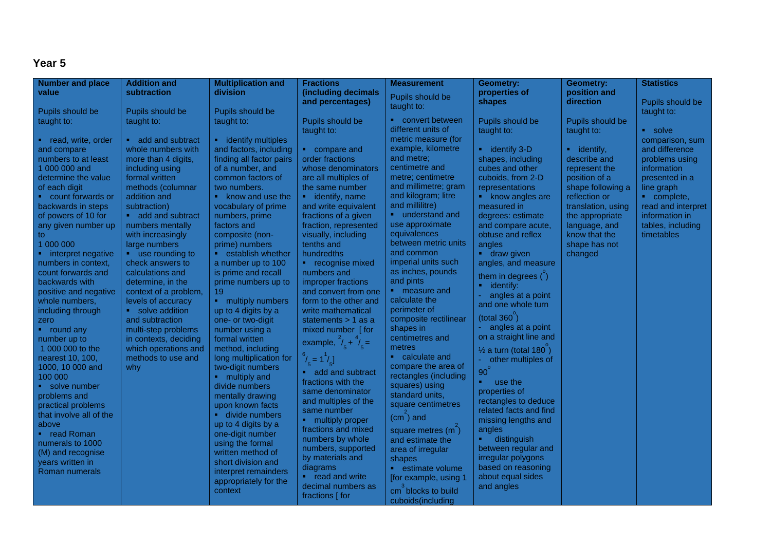| <b>Number and place</b>                     | <b>Addition and</b>                | <b>Multiplication and</b>             | <b>Fractions</b>                   | <b>Measurement</b>                                   | <b>Geometry:</b>                 | <b>Geometry:</b>               | <b>Statistics</b>  |
|---------------------------------------------|------------------------------------|---------------------------------------|------------------------------------|------------------------------------------------------|----------------------------------|--------------------------------|--------------------|
| value                                       | subtraction                        | division                              | (including decimals                | Pupils should be                                     | properties of                    | position and                   |                    |
|                                             |                                    |                                       | and percentages)                   | taught to:                                           | shapes                           | direction                      | Pupils should be   |
| Pupils should be                            | Pupils should be                   | Pupils should be                      |                                    |                                                      |                                  |                                | taught to:         |
| taught to:                                  | taught to:                         | taught to:                            | Pupils should be                   | • convert between                                    | Pupils should be                 | Pupils should be               |                    |
|                                             |                                    |                                       | taught to:                         | different units of                                   | taught to:                       | taught to:                     | • solve            |
| • read, write, order                        | add and subtract                   | • identify multiples                  |                                    | metric measure (for                                  |                                  |                                | comparison, sum    |
| and compare                                 | whole numbers with                 | and factors, including                | • compare and                      | example, kilometre                                   | $\blacksquare$ identify 3-D      | $\blacksquare$ identify,       | and difference     |
| numbers to at least                         | more than 4 digits,                | finding all factor pairs              | order fractions                    | and metre;                                           | shapes, including                | describe and                   | problems using     |
| 1 000 000 and                               | including using                    | of a number, and                      | whose denominators                 | centimetre and                                       | cubes and other                  | represent the                  | information        |
| determine the value                         | formal written                     | common factors of                     | are all multiples of               | metre; centimetre                                    | cuboids, from 2-D                | position of a                  | presented in a     |
| of each digit                               | methods (columnar                  | two numbers.                          | the same number                    | and millimetre; gram                                 | representations                  | shape following a              | line graph         |
| count forwards or                           | addition and                       | $\bullet$ know and use the            | • identify, name                   | and kilogram; litre                                  | know angles are                  | reflection or                  | • complete,        |
| backwards in steps                          | subtraction)                       | vocabulary of prime                   | and write equivalent               | and millilitre)                                      | measured in                      | translation, using             | read and interpret |
| of powers of 10 for                         | add and subtract                   | numbers, prime                        | fractions of a given               | • understand and<br>use approximate                  | degrees: estimate                | the appropriate                | information in     |
| any given number up                         | numbers mentally                   | factors and                           | fraction, represented              | equivalences                                         | and compare acute,               | language, and                  | tables, including  |
| to                                          | with increasingly                  | composite (non-                       | visually, including<br>tenths and  | between metric units                                 | obtuse and reflex                | know that the<br>shape has not | timetables         |
| 1 000 000                                   | large numbers<br>• use rounding to | prime) numbers<br>• establish whether | hundredths                         | and common                                           | angles<br><b>draw given</b>      |                                |                    |
| • interpret negative<br>numbers in context, | check answers to                   | a number up to 100                    | • recognise mixed                  | imperial units such                                  | angles, and measure              | changed                        |                    |
| count forwards and                          | calculations and                   | is prime and recall                   | numbers and                        | as inches, pounds                                    |                                  |                                |                    |
| backwards with                              | determine, in the                  | prime numbers up to                   | improper fractions                 | and pints                                            | them in degrees $\binom{6}{1}$   |                                |                    |
| positive and negative                       | context of a problem,              | 19                                    | and convert from one               | • measure and                                        | $\blacksquare$ identify:         |                                |                    |
| whole numbers,                              | levels of accuracy                 | • multiply numbers                    | form to the other and              | calculate the                                        | angles at a point                |                                |                    |
| including through                           | • solve addition                   | up to 4 digits by a                   | write mathematical                 | perimeter of                                         | and one whole turn               |                                |                    |
| zero                                        | and subtraction                    | one- or two-digit                     | statements $> 1$ as a              | composite rectilinear                                | (total 360)                      |                                |                    |
| • round any                                 | multi-step problems                | number using a                        | mixed number [for                  | shapes in                                            | angles at a point                |                                |                    |
| number up to                                | in contexts, deciding              | formal written                        | example, $^{2}/_{5} + ^{4}/_{5} =$ | centimetres and                                      | on a straight line and           |                                |                    |
| 1 000 000 to the                            | which operations and               | method, including                     |                                    | metres                                               | $\frac{1}{2}$ a turn (total 180) |                                |                    |
| nearest 10, 100,                            | methods to use and                 | long multiplication for               | $^{6}/_{5} = 1^{1}/_{5}$           | • calculate and                                      | - other multiples of             |                                |                    |
| 1000, 10 000 and                            | why                                | two-digit numbers                     | add and subtract                   | compare the area of                                  | 90                               |                                |                    |
| 100 000                                     |                                    | • multiply and                        | fractions with the                 | rectangles (including                                | ×.<br>use the                    |                                |                    |
| • solve number                              |                                    | divide numbers                        | same denominator                   | squares) using                                       | properties of                    |                                |                    |
| problems and                                |                                    | mentally drawing                      | and multiples of the               | standard units,                                      | rectangles to deduce             |                                |                    |
| practical problems                          |                                    | upon known facts                      | same number                        | square centimetres                                   | related facts and find           |                                |                    |
| that involve all of the                     |                                    | <b>divide numbers</b>                 | • multiply proper                  | $(cm)$ and                                           | missing lengths and              |                                |                    |
| above                                       |                                    | up to 4 digits by a                   | fractions and mixed                | square metres $(m2)$                                 | angles                           |                                |                    |
| • read Roman                                |                                    | one-digit number                      | numbers by whole                   | and estimate the                                     | distinguish<br>$\blacksquare$    |                                |                    |
| numerals to 1000                            |                                    | using the formal                      | numbers, supported                 | area of irregular                                    | between regular and              |                                |                    |
| (M) and recognise                           |                                    | written method of                     | by materials and                   | shapes                                               | irregular polygons               |                                |                    |
| years written in                            |                                    | short division and                    | diagrams                           | • estimate volume                                    | based on reasoning               |                                |                    |
| Roman numerals                              |                                    | interpret remainders                  | • read and write                   | [for example, using 1                                | about equal sides                |                                |                    |
|                                             |                                    |                                       | decimal numbers as                 |                                                      | and angles                       |                                |                    |
|                                             |                                    |                                       | fractions [ for                    |                                                      |                                  |                                |                    |
|                                             |                                    | appropriately for the<br>context      |                                    | cm <sup>'</sup> blocks to build<br>cuboids(including |                                  |                                |                    |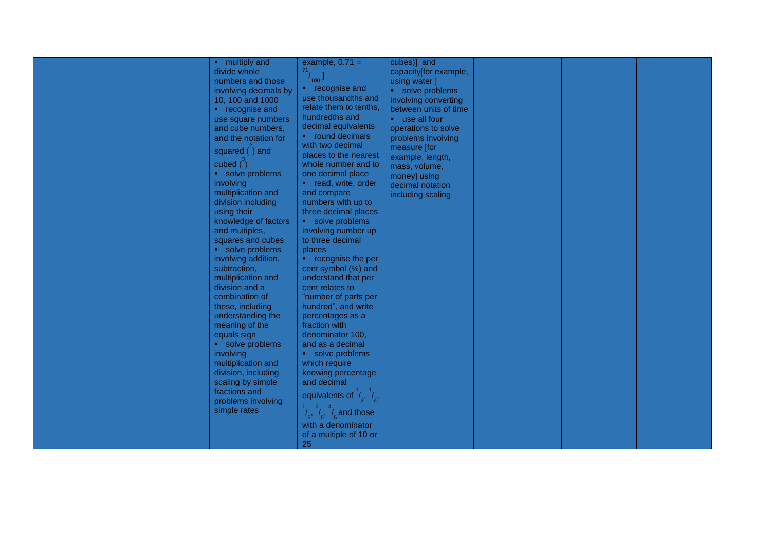|  | • multiply and               | example, $0.71 =$                                 | cubes)] and           |  |  |
|--|------------------------------|---------------------------------------------------|-----------------------|--|--|
|  |                              |                                                   |                       |  |  |
|  | divide whole                 | $\frac{71}{100}$                                  | capacity[for example, |  |  |
|  | numbers and those            |                                                   | using water ]         |  |  |
|  | involving decimals by        | • recognise and                                   | solve problems        |  |  |
|  | 10, 100 and 1000             | use thousandths and                               | involving converting  |  |  |
|  | • recognise and              | relate them to tenths,                            | between units of time |  |  |
|  | use square numbers           | hundredths and                                    | • use all four        |  |  |
|  | and cube numbers,            | decimal equivalents                               | operations to solve   |  |  |
|  | and the notation for         | • round decimals                                  | problems involving    |  |  |
|  |                              | with two decimal                                  | measure [for          |  |  |
|  | squared $($ <sup>2</sup> and | places to the nearest                             | example, length,      |  |  |
|  | cubed $\binom{3}{1}$         | whole number and to                               | mass, volume,         |  |  |
|  | • solve problems             | one decimal place                                 |                       |  |  |
|  | involving                    | • read, write, order                              | money] using          |  |  |
|  | multiplication and           | and compare                                       | decimal notation      |  |  |
|  | division including           | numbers with up to                                | including scaling     |  |  |
|  | using their                  | three decimal places                              |                       |  |  |
|  |                              |                                                   |                       |  |  |
|  | knowledge of factors         | • solve problems                                  |                       |  |  |
|  | and multiples,               | involving number up                               |                       |  |  |
|  | squares and cubes            | to three decimal                                  |                       |  |  |
|  | • solve problems             | places                                            |                       |  |  |
|  | involving addition,          | • recognise the per                               |                       |  |  |
|  | subtraction,                 | cent symbol (%) and                               |                       |  |  |
|  | multiplication and           | understand that per                               |                       |  |  |
|  | division and a               | cent relates to                                   |                       |  |  |
|  | combination of               | "number of parts per                              |                       |  |  |
|  | these, including             | hundred", and write                               |                       |  |  |
|  | understanding the            | percentages as a                                  |                       |  |  |
|  | meaning of the               | fraction with                                     |                       |  |  |
|  | equals sign                  | denominator 100,                                  |                       |  |  |
|  | solve problems               | and as a decimal                                  |                       |  |  |
|  | involving                    | solve problems                                    |                       |  |  |
|  | multiplication and           | which require                                     |                       |  |  |
|  |                              |                                                   |                       |  |  |
|  | division, including          | knowing percentage                                |                       |  |  |
|  | scaling by simple            | and decimal                                       |                       |  |  |
|  | fractions and                | equivalents of $\frac{1}{2}$ , $\frac{1}{4}$ ,    |                       |  |  |
|  | problems involving           |                                                   |                       |  |  |
|  | simple rates                 | $\frac{1}{5}, \frac{2}{5}, \frac{4}{5}$ and those |                       |  |  |
|  |                              | with a denominator                                |                       |  |  |
|  |                              | of a multiple of 10 or                            |                       |  |  |
|  |                              | 25                                                |                       |  |  |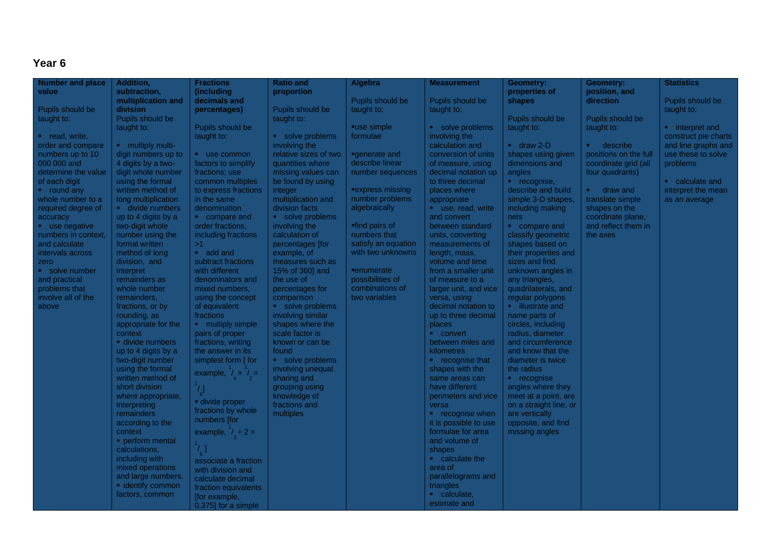| <b>Number and place</b>             | Addition,                           | <b>Fractions</b>                            | <b>Ratio and</b>                | Algebra             | <b>Measurement</b>                    | Geometry:                         | Geometry:                                | <b>Statistics</b>    |
|-------------------------------------|-------------------------------------|---------------------------------------------|---------------------------------|---------------------|---------------------------------------|-----------------------------------|------------------------------------------|----------------------|
| value                               | subtraction,                        | (including                                  | proportion                      |                     |                                       | properties of                     | position, and                            |                      |
|                                     | multiplication and                  | decimals and                                |                                 | Pupils should be    | Pupils should be                      | shapes                            | direction                                | Pupils should be     |
| Pupils should be                    | <b>division</b>                     | percentages)                                | Pupils should be                | taught to:          | taught to:                            |                                   |                                          | taught to:           |
| taught to:                          | Pupils should be                    |                                             | taught to:                      |                     |                                       | Pupils should be                  | Pupils should be                         |                      |
|                                     | taught to:                          | Pupils should be                            |                                 | ■use simple         | • solve problems                      | taught to:                        | taught to:                               | interpret and        |
| • read, write,                      |                                     | taught to:                                  | solve problems                  | formulae            | involving the                         |                                   |                                          | construct pie charts |
| order and compare                   | • multiply multi-                   |                                             | involving the                   |                     | calculation and                       | $\blacksquare$ draw 2-D           | describe<br>$\mathbf{R}^{(1)}$           | and line graphs and  |
| numbers up to 10                    | digit numbers up to                 | use common                                  | relative sizes of two           | ■generate and       | conversion of units                   | shapes using given                | positions on the full                    | use these to solve   |
| 000 000 and                         | 4 digits by a two-                  | factors to simplify                         | quantities where                | describe linear     | of measure, using                     | dimensions and                    | coordinate grid (all                     | problems             |
| determine the value                 | digit whole number                  | fractions; use                              | missing values can              | number sequences    | decimal notation up                   | angles                            | four quadrants)                          |                      |
| of each digit                       | using the formal                    | common multiples                            | be found by using               |                     | to three decimal                      | <b>·</b> recognise,               |                                          | • calculate and      |
| • round any                         | written method of                   | to express fractions                        | integer                         | ■express missing    | places where                          | describe and build                | <b>•</b> draw and                        | interpret the mean   |
| whole number to a                   | long multiplication                 | in the same                                 | multiplication and              | number problems     | appropriate                           | simple 3-D shapes,                | translate simple                         | as an average        |
| required degree of                  | <b>divide numbers</b>               | denomination                                | division facts                  | algebraically       | • use, read, write                    | including making                  | shapes on the                            |                      |
| accuracy                            | up to 4 digits by a                 | • compare and                               | • solve problems                | "find pairs of      | and convert                           | nets                              | coordinate plane,<br>and reflect them in |                      |
| use negative<br>numbers in context, | two-digit whole<br>number using the | order fractions,<br>including fractions     | involving the<br>calculation of | numbers that        | between standard<br>units, converting | compare and<br>classify geometric | the axes                                 |                      |
| and calculate                       | formal written                      | >1                                          | percentages [for                | satisfy an equation | measurements of                       | shapes based on                   |                                          |                      |
| ntervals across                     | method of long                      | add and                                     | example, of                     | with two unknowns   | length, mass,                         | their properties and              |                                          |                      |
| zero                                | division, and                       | subtract fractions                          | measures such as                |                     | volume and time                       | sizes and find                    |                                          |                      |
| solve number                        | interpret                           | with different                              | 15% of 360] and                 | <b>"enumerate</b>   | from a smaller unit                   | unknown angles in                 |                                          |                      |
| and practical                       | remainders as                       | denominators and                            | the use of                      | possibilities of    | of measure to a                       | any triangles,                    |                                          |                      |
| problems that                       | whole number                        | mixed numbers,                              | percentages for                 | combinations of     | larger unit, and vice                 | quadrilaterals, and               |                                          |                      |
| involve all of the                  | remainders,                         | using the concept                           | comparison                      | two variables       | versa, using                          | regular polygons                  |                                          |                      |
| above                               | fractions, or by                    | of equivalent                               | solve problems                  |                     | decimal notation to                   | • illustrate and                  |                                          |                      |
|                                     | rounding, as                        | fractions                                   | involving similar               |                     | up to three decimal                   | name parts of                     |                                          |                      |
|                                     | appropriate for the                 | • multiply simple                           | shapes where the                |                     | places                                | circles, including                |                                          |                      |
|                                     | context                             | pairs of proper                             | scale factor is                 |                     | • convert                             | radius, diameter                  |                                          |                      |
|                                     | divide numbers                      | fractions, writing                          | known or can be                 |                     | between miles and                     | and circumference                 |                                          |                      |
|                                     | up to 4 digits by a                 | the answer in its                           | found                           |                     | kilometres                            | and know that the                 |                                          |                      |
|                                     | two-digit number                    | simplest form [ for                         | • solve problems                |                     | • recognise that                      | diameter is twice                 |                                          |                      |
|                                     | using the formal                    |                                             | involving unequal               |                     | shapes with the                       | the radius                        |                                          |                      |
|                                     | written method of                   | example, $\frac{1}{4} \times \frac{1}{2} =$ | sharing and                     |                     | same areas can                        | • recognise                       |                                          |                      |
|                                     | short division                      | $\frac{1}{8}$                               | grouping using                  |                     | have different                        | angles where they                 |                                          |                      |
|                                     | where appropriate,                  | divide proper                               | knowledge of                    |                     | perimeters and vice                   | meet at a point, are              |                                          |                      |
|                                     | interpreting                        | fractions by whole                          | fractions and                   |                     | versa                                 | on a straight line, or            |                                          |                      |
|                                     | remainders                          | numbers [for                                | multiples                       |                     | • recognise when                      | are vertically                    |                                          |                      |
|                                     | according to the                    |                                             |                                 |                     | it is possible to use                 | opposite, and find                |                                          |                      |
|                                     | context                             | example, $1 \div 2 =$                       |                                 |                     | formulae for area                     | missing angles                    |                                          |                      |
|                                     | perform mental                      | $\frac{1}{6}$                               |                                 |                     | and volume of                         |                                   |                                          |                      |
|                                     | calculations,                       |                                             |                                 |                     | shapes                                |                                   |                                          |                      |
|                                     | including with                      | associate a fraction                        |                                 |                     | $\bullet$ calculate the               |                                   |                                          |                      |
|                                     | mixed operations                    | with division and                           |                                 |                     | area of                               |                                   |                                          |                      |
|                                     | and large numbers.                  | calculate decimal                           |                                 |                     | parallelograms and                    |                                   |                                          |                      |
|                                     | • identify common                   | fraction equivalents                        |                                 |                     | triangles                             |                                   |                                          |                      |
|                                     | factors, common                     | [for example,                               |                                 |                     | • calculate,                          |                                   |                                          |                      |
|                                     |                                     | 0.375] for a simple                         |                                 |                     | estimate and                          |                                   |                                          |                      |